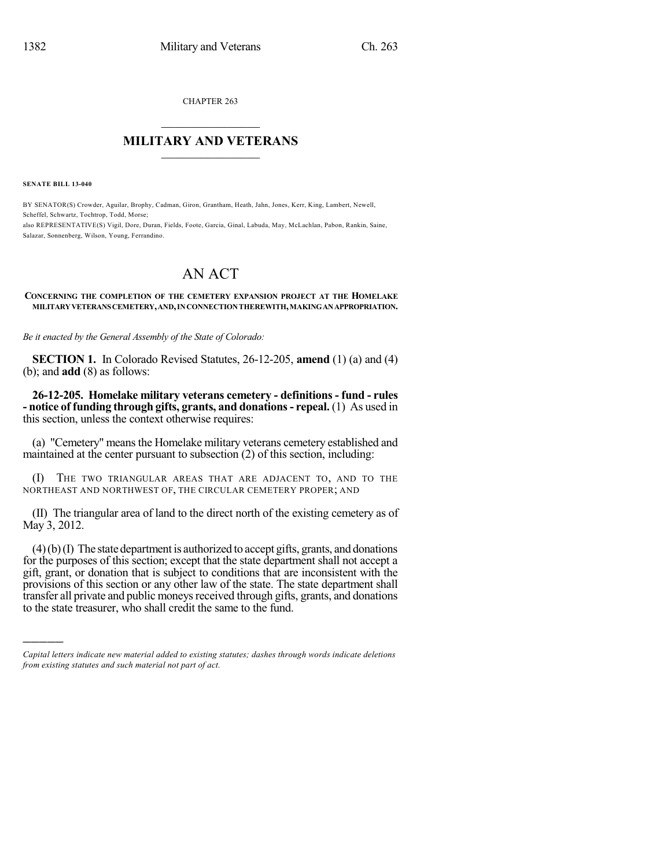CHAPTER 263

## $\mathcal{L}_\text{max}$  . The set of the set of the set of the set of the set of the set of the set of the set of the set of the set of the set of the set of the set of the set of the set of the set of the set of the set of the set **MILITARY AND VETERANS**  $\frac{1}{2}$  ,  $\frac{1}{2}$  ,  $\frac{1}{2}$  ,  $\frac{1}{2}$  ,  $\frac{1}{2}$  ,  $\frac{1}{2}$  ,  $\frac{1}{2}$

**SENATE BILL 13-040**

)))))

BY SENATOR(S) Crowder, Aguilar, Brophy, Cadman, Giron, Grantham, Heath, Jahn, Jones, Kerr, King, Lambert, Newell, Scheffel, Schwartz, Tochtrop, Todd, Morse; also REPRESENTATIVE(S) Vigil, Dore, Duran, Fields, Foote, Garcia, Ginal, Labuda, May, McLachlan, Pabon, Rankin, Saine, Salazar, Sonnenberg, Wilson, Young, Ferrandino.

## AN ACT

## **CONCERNING THE COMPLETION OF THE CEMETERY EXPANSION PROJECT AT THE HOMELAKE MILITARYVETERANSCEMETERY,AND,INCONNECTIONTHEREWITH,MAKINGANAPPROPRIATION.**

*Be it enacted by the General Assembly of the State of Colorado:*

**SECTION 1.** In Colorado Revised Statutes, 26-12-205, **amend** (1) (a) and (4) (b); and **add** (8) as follows:

**26-12-205. Homelake military veterans cemetery - definitions - fund - rules - notice of funding through gifts, grants, and donations- repeal.** (1) As used in this section, unless the context otherwise requires:

(a) "Cemetery" means the Homelake military veterans cemetery established and maintained at the center pursuant to subsection (2) of this section, including:

(I) THE TWO TRIANGULAR AREAS THAT ARE ADJACENT TO, AND TO THE NORTHEAST AND NORTHWEST OF, THE CIRCULAR CEMETERY PROPER; AND

(II) The triangular area of land to the direct north of the existing cemetery as of May 3, 2012.

 $(4)(b)(I)$  The state department is authorized to accept gifts, grants, and donations for the purposes of this section; except that the state department shall not accept a gift, grant, or donation that is subject to conditions that are inconsistent with the provisions of this section or any other law of the state. The state department shall transfer all private and public moneys received through gifts, grants, and donations to the state treasurer, who shall credit the same to the fund.

*Capital letters indicate new material added to existing statutes; dashes through words indicate deletions from existing statutes and such material not part of act.*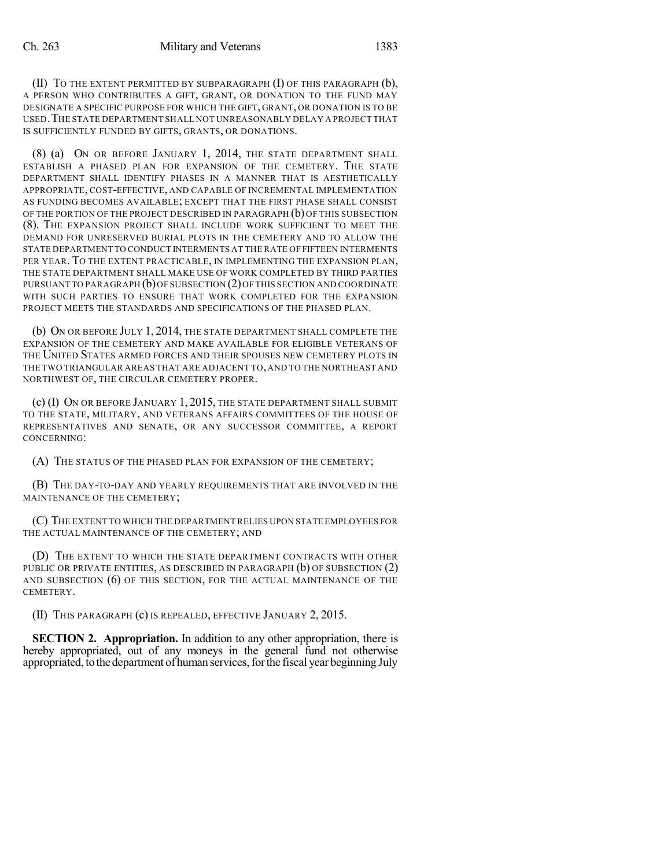(II) TO THE EXTENT PERMITTED BY SUBPARAGRAPH (I) OF THIS PARAGRAPH (b), A PERSON WHO CONTRIBUTES A GIFT, GRANT, OR DONATION TO THE FUND MAY DESIGNATE A SPECIFIC PURPOSE FOR WHICH THE GIFT, GRANT, OR DONATION IS TO BE USED.THE STATE DEPARTMENT SHALL NOT UNREASONABLY DELAY A PROJECT THAT IS SUFFICIENTLY FUNDED BY GIFTS, GRANTS, OR DONATIONS.

(8) (a) ON OR BEFORE JANUARY 1, 2014, THE STATE DEPARTMENT SHALL ESTABLISH A PHASED PLAN FOR EXPANSION OF THE CEMETERY. THE STATE DEPARTMENT SHALL IDENTIFY PHASES IN A MANNER THAT IS AESTHETICALLY APPROPRIATE, COST-EFFECTIVE, AND CAPABLE OF INCREMENTAL IMPLEMENTATION AS FUNDING BECOMES AVAILABLE; EXCEPT THAT THE FIRST PHASE SHALL CONSIST OF THE PORTION OF THE PROJECT DESCRIBED IN PARAGRAPH (b) OF THIS SUBSECTION (8). THE EXPANSION PROJECT SHALL INCLUDE WORK SUFFICIENT TO MEET THE DEMAND FOR UNRESERVED BURIAL PLOTS IN THE CEMETERY AND TO ALLOW THE STATE DEPARTMENT TO CONDUCT INTERMENTS AT THE RATE OF FIFTEEN INTERMENTS PER YEAR. TO THE EXTENT PRACTICABLE, IN IMPLEMENTING THE EXPANSION PLAN, THE STATE DEPARTMENT SHALL MAKE USE OF WORK COMPLETED BY THIRD PARTIES PURSUANT TO PARAGRAPH  $(b)$  OF SUBSECTION (2) OF THIS SECTION AND COORDINATE WITH SUCH PARTIES TO ENSURE THAT WORK COMPLETED FOR THE EXPANSION PROJECT MEETS THE STANDARDS AND SPECIFICATIONS OF THE PHASED PLAN.

(b) ON OR BEFORE JULY 1, 2014, THE STATE DEPARTMENT SHALL COMPLETE THE EXPANSION OF THE CEMETERY AND MAKE AVAILABLE FOR ELIGIBLE VETERANS OF THE UNITED STATES ARMED FORCES AND THEIR SPOUSES NEW CEMETERY PLOTS IN THE TWO TRIANGULAR AREAS THAT ARE ADJACENT TO,AND TO THE NORTHEAST AND NORTHWEST OF, THE CIRCULAR CEMETERY PROPER.

(c) (I) ON OR BEFORE JANUARY 1, 2015, THE STATE DEPARTMENT SHALL SUBMIT TO THE STATE, MILITARY, AND VETERANS AFFAIRS COMMITTEES OF THE HOUSE OF REPRESENTATIVES AND SENATE, OR ANY SUCCESSOR COMMITTEE, A REPORT CONCERNING:

(A) THE STATUS OF THE PHASED PLAN FOR EXPANSION OF THE CEMETERY;

(B) THE DAY-TO-DAY AND YEARLY REQUIREMENTS THAT ARE INVOLVED IN THE MAINTENANCE OF THE CEMETERY;

(C) THE EXTENT TO WHICH THE DEPARTMENT RELIES UPON STATE EMPLOYEES FOR THE ACTUAL MAINTENANCE OF THE CEMETERY; AND

(D) THE EXTENT TO WHICH THE STATE DEPARTMENT CONTRACTS WITH OTHER PUBLIC OR PRIVATE ENTITIES, AS DESCRIBED IN PARAGRAPH (b) OF SUBSECTION (2) AND SUBSECTION (6) OF THIS SECTION, FOR THE ACTUAL MAINTENANCE OF THE CEMETERY.

(II) THIS PARAGRAPH (c) IS REPEALED, EFFECTIVE JANUARY 2, 2015.

**SECTION 2. Appropriation.** In addition to any other appropriation, there is hereby appropriated, out of any moneys in the general fund not otherwise appropriated, to the department of human services, for the fiscal year beginning July